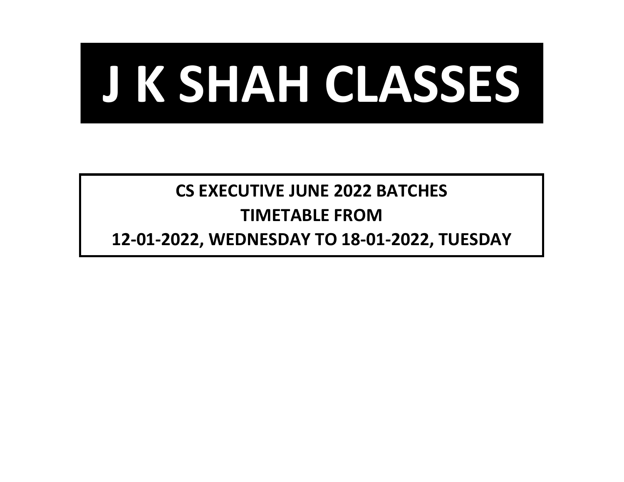

## **CS EXECUTIVE JUNE 2022 BATCHES TIMETABLE FROM**

**12-01-2022, WEDNESDAY TO 18-01-2022, TUESDAY**